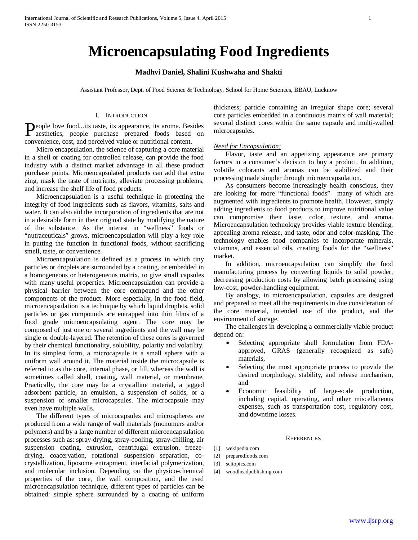# **Microencapsulating Food Ingredients**

## **Madhvi Daniel, Shalini Kushwaha and Shakti**

Assistant Professor, Dept. of Food Science & Technology, School for Home Sciences, BBAU, Lucknow

#### I. INTRODUCTION

People love food...its taste, its appearance, its aroma. Besides aesthetics, people purchase prepared foods based on aesthetics, people purchase prepared foods based on convenience, cost, and perceived value or nutritional content.

 Micro encapsulation, the science of capturing a core material in a shell or coating for controlled release, can provide the food industry with a distinct market advantage in all these product purchase points. Microencapsulated products can add that extra zing, mask the taste of nutrients, alleviate processing problems, and increase the shelf life of food products.

 Microencapsulation is a useful technique in protecting the integrity of food ingredients such as flavors, vitamins, salts and water. It can also aid the incorporation of ingredients that are not in a desirable form in their original state by modifying the nature of the substance. As the interest in "wellness" foods or "nutraceuticals" grows, microencapsulation will play a key role in putting the function in functional foods, without sacrificing smell, taste, or convenience.

 Microencapsulation is defined as a process in which tiny particles or droplets are surrounded by a coating, or embedded in a homogeneous or heterogeneous matrix, to give small capsules with many useful properties. Microencapsulation can provide a physical barrier between the core compound and the other components of the product. More especially, in the food field, microencapsulation is a technique by which liquid droplets, solid particles or gas compounds are entrapped into thin films of a food grade microencapsulating agent. The core may be composed of just one or several ingredients and the wall may be single or double-layered. The retention of these cores is governed by their chemical functionality, solubility, polarity and volatility. In its simplest form, a microcapsule is a small sphere with a uniform wall around it. The material inside the microcapsule is referred to as the core*,* internal phase*,* or fill*,* whereas the wall is sometimes called shell*,* coating*,* wall material*,* or membrane*.* Practically, the core may be a crystalline material, a jagged adsorbent particle, an emulsion, a suspension of solids, or a suspension of smaller microcapsules. The microcapsule may even have multiple walls.

 The different types of microcapsules and microspheres are produced from a wide range of wall materials (monomers and/or polymers) and by a large number of different microencapsulation processes such as: spray-drying, spray-cooling, spray-chilling, air suspension coating, extrusion, centrifugal extrusion, freezedrying, coacervation, rotational suspension separation, cocrystallization, liposome entrapment, interfacial polymerization, and molecular inclusion. Depending on the physico-chemical properties of the core, the wall composition, and the used microencapsulation technique, different types of particles can be obtained: simple sphere surrounded by a coating of uniform thickness; particle containing an irregular shape core; several core particles embedded in a continuous matrix of wall material; several distinct cores within the same capsule and multi-walled microcapsules.

#### *Need for Encapsulation:*

 Flavor, taste and an appetizing appearance are primary factors in a consumer's decision to buy a product. In addition, volatile colorants and aromas can be stabilized and their processing made simpler through microencapsulation.

 As consumers become increasingly health conscious, they are looking for more "functional foods"—many of which are augmented with ingredients to promote health. However, simply adding ingredients to food products to improve nutritional value can compromise their taste, color, texture, and aroma. Microencapsulation technology provides viable texture blending, appealing aroma release, and taste, odor and color-masking. The technology enables food companies to incorporate minerals, vitamins, and essential oils, creating foods for the "wellness" market.

 In addition, microencapsulation can simplify the food manufacturing process by converting liquids to solid powder, decreasing production costs by allowing batch processing using low-cost, powder-handling equipment.

 By analogy, in microencapsulation, capsules are designed and prepared to meet all the requirements in due consideration of the core material, intended use of the product, and the environment of storage.

 The challenges in developing a commercially viable product depend on:

- Selecting appropriate shell formulation from FDAapproved, GRAS (generally recognized as safe) materials,
- Selecting the most appropriate process to provide the desired morphology, stability, and release mechanism, and
- Economic feasibility of large-scale production, including capital, operating, and other miscellaneous expenses, such as transportation cost, regulatory cost, and downtime losses.

### **REFERENCES**

- [1] wekipedia.com
- [2] preparedfoods.com
- [3] scitopics.com
- [4] woodheadpublishing.com